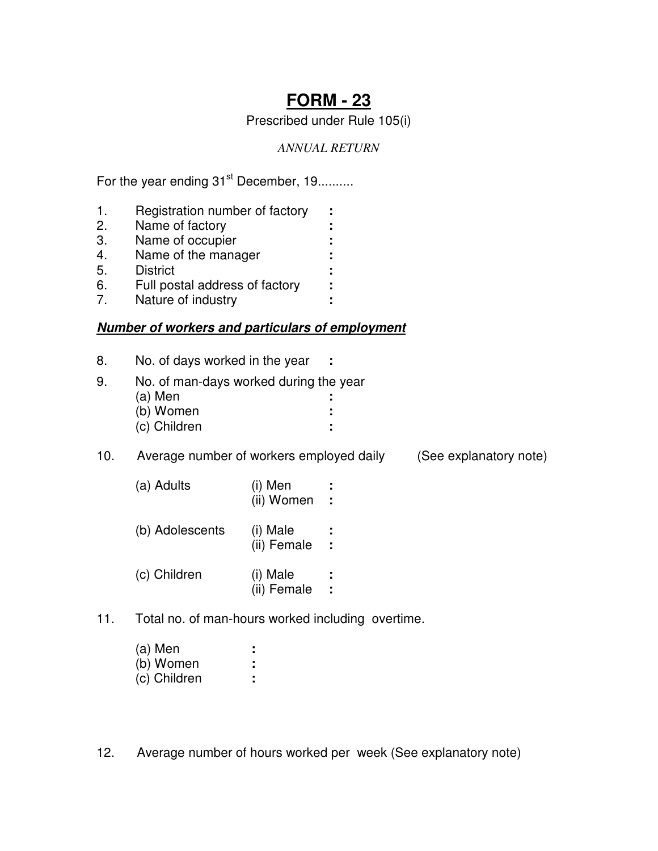# **FORM - 23**

Prescribed under Rule 105(i)

## *ANNUAL RETURN*

For the year ending 31<sup>st</sup> December, 19..........

- 1. Registration number of factory **:**
- 2. Name of factory **:**
- 3. Name of occupier **:**
- 4. Name of the manager **:**
- 5. District **:**
- 6. Full postal address of factory **:**
- 7. Nature of industry **:**

# **Number of workers and particulars of employment**

- 8. No. of days worked in the year **:**
- 9. No. of man-days worked during the year (a) Men **:** (b) Women **:**
	- (c) Children **:**

10. Average number of workers employed daily (See explanatory note)

| (a) Adults      | (i) Men<br>(ii) Women   | ÷<br>$\mathcal{L}$         |
|-----------------|-------------------------|----------------------------|
| (b) Adolescents | (i) Male<br>(ii) Female | ÷.<br>$\ddot{\phantom{a}}$ |
| (c) Children    | (i) Male<br>(ii) Female | ÷.<br>٠                    |

11. Total no. of man-hours worked including overtime.

| (a) Men      | ٠ |
|--------------|---|
| (b) Women    | ٠ |
| (c) Children |   |

12. Average number of hours worked per week (See explanatory note)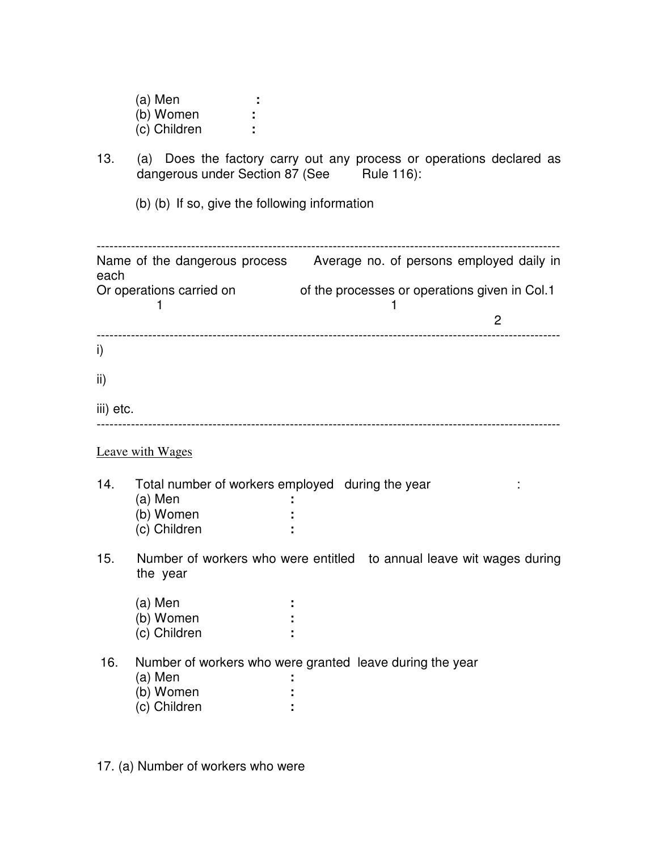|           | (a) Men<br>(b) Women<br>(c) Children                                                                               |  |   |   |  |
|-----------|--------------------------------------------------------------------------------------------------------------------|--|---|---|--|
| 13.       | (a) Does the factory carry out any process or operations declared as<br>dangerous under Section 87 (See Rule 116): |  |   |   |  |
|           | (b) (b) If so, give the following information                                                                      |  |   |   |  |
| each      | Name of the dangerous process Average no. of persons employed daily in                                             |  |   |   |  |
|           | Or operations carried on of the processes or operations given in Col.1<br>ı                                        |  | 1 |   |  |
|           |                                                                                                                    |  |   | 2 |  |
| i)        |                                                                                                                    |  |   |   |  |
| ii)       |                                                                                                                    |  |   |   |  |
| iii) etc. | --------------------------------------                                                                             |  |   |   |  |
|           | <b>Leave with Wages</b>                                                                                            |  |   |   |  |
| 14.       | Total number of workers employed during the year                                                                   |  |   |   |  |
|           | $(a)$ Men<br>(b) Women                                                                                             |  |   |   |  |
|           | (c) Children                                                                                                       |  |   |   |  |
| 15.       | Number of workers who were entitled to annual leave wit wages during<br>the year                                   |  |   |   |  |
|           | (a) Men                                                                                                            |  |   |   |  |
|           | (b) Women                                                                                                          |  |   |   |  |
|           | (c) Children                                                                                                       |  |   |   |  |
| 16.       | Number of workers who were granted leave during the year                                                           |  |   |   |  |
|           | $(a)$ Men<br>(b) Women                                                                                             |  |   |   |  |
|           | (c) Children                                                                                                       |  |   |   |  |
|           |                                                                                                                    |  |   |   |  |

17. (a) Number of workers who were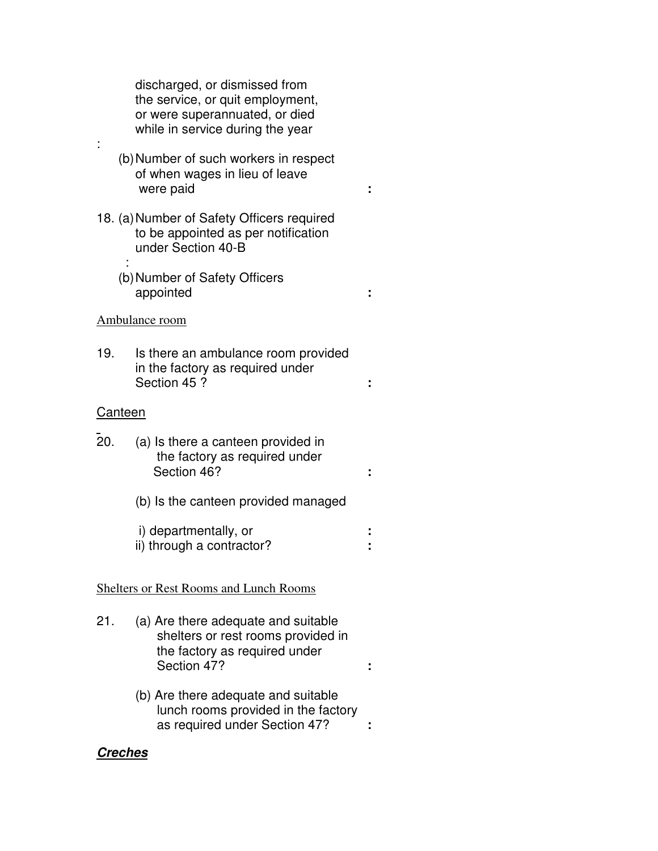discharged, or dismissed from the service, or quit employment, or were superannuated, or died while in service during the year (b) Number of such workers in respect of when wages in lieu of leave were paid **:** 18. (a) Number of Safety Officers required to be appointed as per notification under Section 40-B : (b) Number of Safety Officers appointed **:** Ambulance room

19. Is there an ambulance room provided in the factory as required under Section 45 ? **:**

#### Canteen

:

| <b>20.</b> | (a) Is there a canteen provided in<br>the factory as required under<br>Section 46? |  |
|------------|------------------------------------------------------------------------------------|--|
|            | (b) Is the canteen provided managed                                                |  |

 i) departmentally, or **:**  ii) through a contractor? **:** 

#### Shelters or Rest Rooms and Lunch Rooms

- 21. (a) Are there adequate and suitable shelters or rest rooms provided in the factory as required under Section 47? **:**
	- (b) Are there adequate and suitable lunch rooms provided in the factory as required under Section 47? **:**

### **Creches**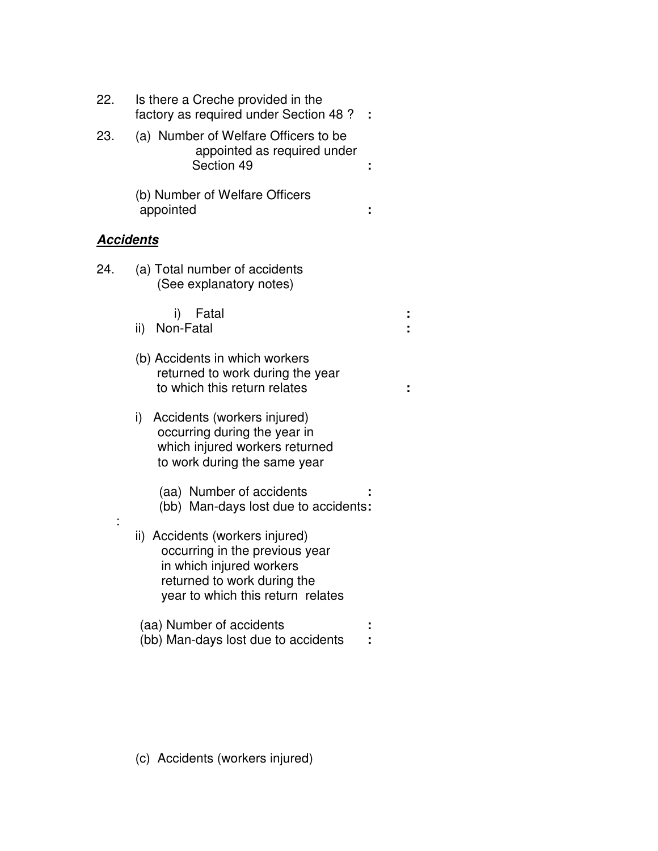| 22.              | Is there a Creche provided in the<br>factory as required under Section 48 ?                                                                                       |  |
|------------------|-------------------------------------------------------------------------------------------------------------------------------------------------------------------|--|
| 23.              | (a) Number of Welfare Officers to be<br>appointed as required under<br>Section 49                                                                                 |  |
|                  | (b) Number of Welfare Officers<br>appointed                                                                                                                       |  |
| <u>Accidents</u> |                                                                                                                                                                   |  |
| 24.              | (a) Total number of accidents<br>(See explanatory notes)                                                                                                          |  |
|                  | Fatal<br>i)<br>ii) Non-Fatal                                                                                                                                      |  |
|                  | (b) Accidents in which workers<br>returned to work during the year<br>to which this return relates                                                                |  |
|                  | Accidents (workers injured)<br>i)<br>occurring during the year in<br>which injured workers returned<br>to work during the same year                               |  |
|                  | (aa) Number of accidents<br>(bb) Man-days lost due to accidents:                                                                                                  |  |
|                  | ii) Accidents (workers injured)<br>occurring in the previous year<br>in which injured workers<br>returned to work during the<br>year to which this return relates |  |
|                  | (aa) Number of accidents<br>(bb) Man-days lost due to accidents                                                                                                   |  |

(c) Accidents (workers injured)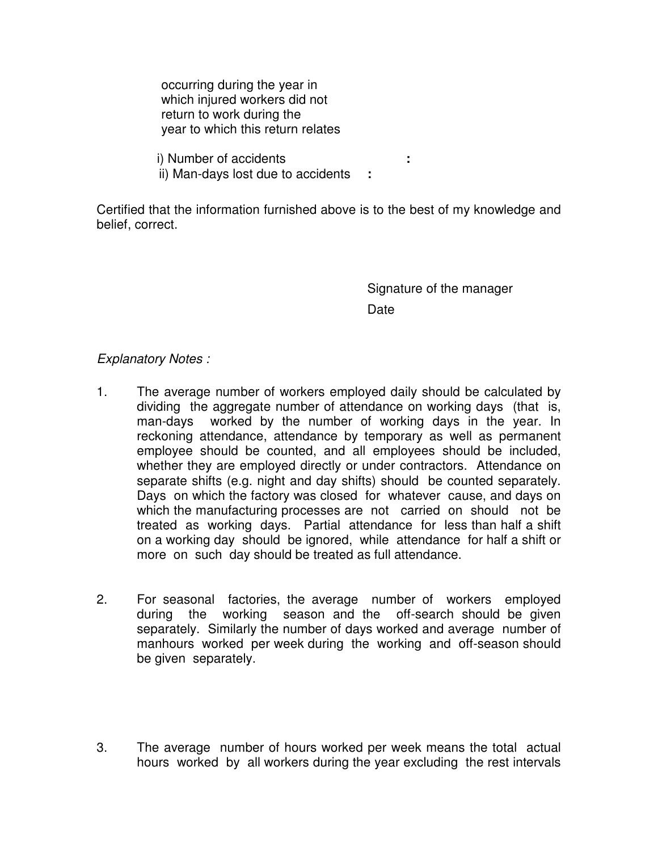occurring during the year in which injured workers did not return to work during the year to which this return relates

i) Number of accidents **:**

ii) Man-days lost due to accidents **:**

Certified that the information furnished above is to the best of my knowledge and belief, correct.

> Signature of the manager Date

## Explanatory Notes :

- 1. The average number of workers employed daily should be calculated by dividing the aggregate number of attendance on working days (that is, man-days worked by the number of working days in the year. In reckoning attendance, attendance by temporary as well as permanent employee should be counted, and all employees should be included, whether they are employed directly or under contractors. Attendance on separate shifts (e.g. night and day shifts) should be counted separately. Days on which the factory was closed for whatever cause, and days on which the manufacturing processes are not carried on should not be treated as working days. Partial attendance for less than half a shift on a working day should be ignored, while attendance for half a shift or more on such day should be treated as full attendance.
- 2. For seasonal factories, the average number of workers employed during the working season and the off-search should be given separately. Similarly the number of days worked and average number of manhours worked per week during the working and off-season should be given separately.
- 3. The average number of hours worked per week means the total actual hours worked by all workers during the year excluding the rest intervals